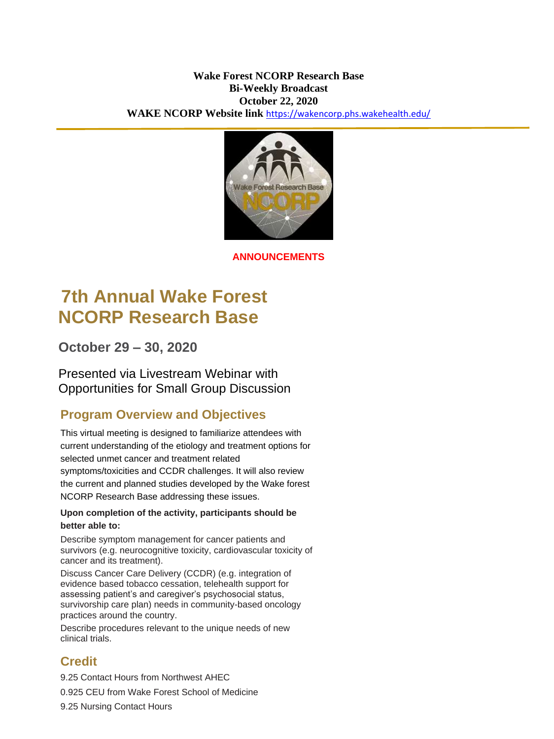arch Base

**ANNOUNCEMENTS**

# **7th Annual Wake Forest NCORP Research Base**

**October 29 – 30, 2020**

Presented via Livestream Webinar with Opportunities for Small Group Discussion

# **Program Overview and Objectives**

This virtual meeting is designed to familiarize attendees with current understanding of the etiology and treatment options for selected unmet cancer and treatment related symptoms/toxicities and CCDR challenges. It will also review the current and planned studies developed by the Wake forest NCORP Research Base addressing these issues.

### **Upon completion of the activity, participants should be better able to:**

Describe symptom management for cancer patients and survivors (e.g. neurocognitive toxicity, cardiovascular toxicity of cancer and its treatment).

Discuss Cancer Care Delivery (CCDR) (e.g. integration of evidence based tobacco cessation, telehealth support for assessing patient's and caregiver's psychosocial status, survivorship care plan) needs in community-based oncology practices around the country.

Describe procedures relevant to the unique needs of new clinical trials.

# **Credit**

9.25 Contact Hours from Northwest AHEC

0.925 CEU from Wake Forest School of Medicine

9.25 Nursing Contact Hours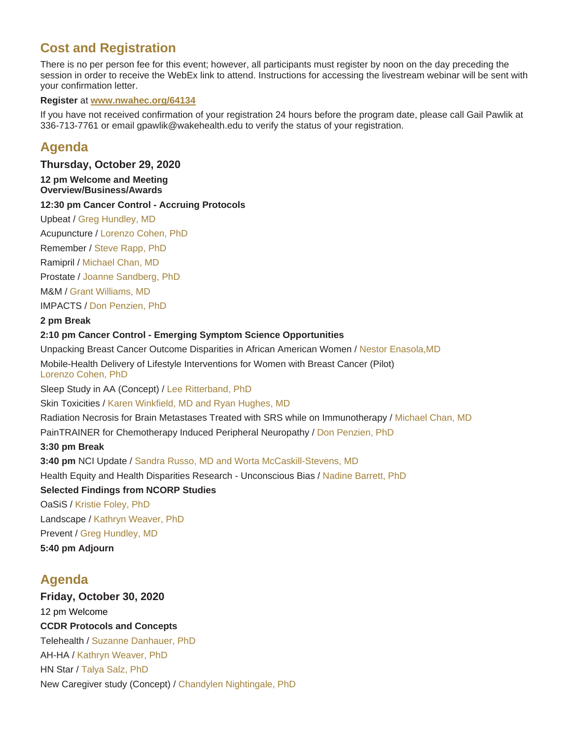# **Cost and Registration**

There is no per person fee for this event; however, all participants must register by noon on the day preceding the session in order to receive the WebEx link to attend. Instructions for accessing the livestream webinar will be sent with your confirmation letter.

#### **Register** at **www.nwahec.org/64134**

If you have not received confirmation of your registration 24 hours before the program date, please call Gail Pawlik at 336-713-7761 or email gpawlik@wakehealth.edu to verify the status of your registration.

# **Agenda**

**Thursday, October 29, 2020**

#### **12 pm Welcome and Meeting Overview/Business/Awards**

#### **12:30 pm Cancer Control - Accruing Protocols**

Upbeat / Greg Hundley, MD

Acupuncture / Lorenzo Cohen, PhD

Remember / Steve Rapp, PhD

Ramipril / Michael Chan, MD

Prostate / Joanne Sandberg, PhD

M&M / Grant Williams, MD

IMPACTS / Don Penzien, PhD

**2 pm Break** 

#### **2:10 pm Cancer Control - Emerging Symptom Science Opportunities**

Unpacking Breast Cancer Outcome Disparities in African American Women / Nestor Enasola,MD

Mobile-Health Delivery of Lifestyle Interventions for Women with Breast Cancer (Pilot) Lorenzo Cohen, PhD

Sleep Study in AA (Concept) / Lee Ritterband, PhD

Skin Toxicities / Karen Winkfield, MD and Ryan Hughes, MD

Radiation Necrosis for Brain Metastases Treated with SRS while on Immunotherapy / Michael Chan, MD

PainTRAINER for Chemotherapy Induced Peripheral Neuropathy / Don Penzien, PhD

#### **3:30 pm Break**

**3:40 pm** NCI Update / Sandra Russo, MD and Worta McCaskill-Stevens, MD

Health Equity and Health Disparities Research - Unconscious Bias / Nadine Barrett, PhD

**Selected Findings from NCORP Studies** 

OaSiS / Kristie Foley, PhD Landscape / Kathryn Weaver, PhD Prevent / Greg Hundley, MD

**5:40 pm Adjourn**

# **Agenda**

**Friday, October 30, 2020** 12 pm Welcome **CCDR Protocols and Concepts**  Telehealth / Suzanne Danhauer, PhD AH-HA / Kathryn Weaver, PhD HN Star / Talya Salz, PhD New Caregiver study (Concept) / Chandylen Nightingale, PhD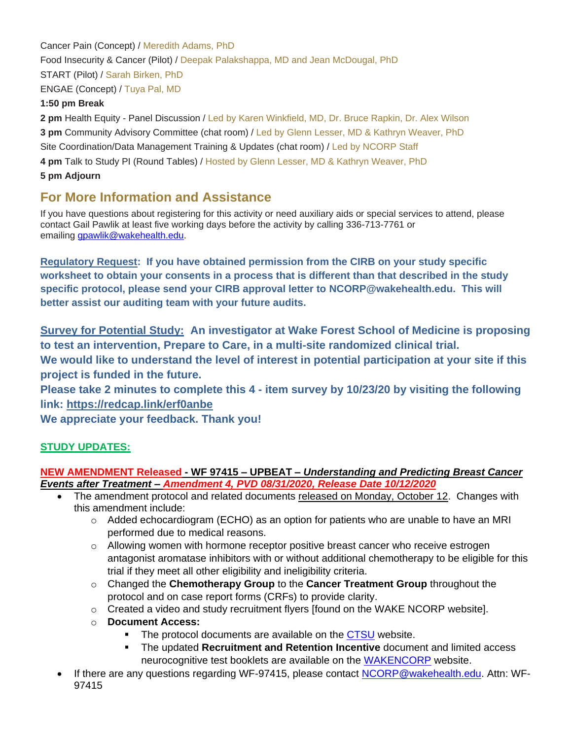Cancer Pain (Concept) / Meredith Adams, PhD Food Insecurity & Cancer (Pilot) / Deepak Palakshappa, MD and Jean McDougal, PhD START (Pilot) / Sarah Birken, PhD ENGAE (Concept) / Tuya Pal, MD

### **1:50 pm Break**

**2 pm** Health Equity - Panel Discussion / Led by Karen Winkfield, MD, Dr. Bruce Rapkin, Dr. Alex Wilson **3 pm** Community Advisory Committee (chat room) / Led by Glenn Lesser, MD & Kathryn Weaver, PhD Site Coordination/Data Management Training & Updates (chat room) / Led by NCORP Staff **4 pm** Talk to Study PI (Round Tables) / Hosted by Glenn Lesser, MD & Kathryn Weaver, PhD **5 pm Adjourn**

# **For More Information and Assistance**

If you have questions about registering for this activity or need auxiliary aids or special services to attend, please contact Gail Pawlik at least five working days before the activity by calling 336-713-7761 or emailing **gpawlik@wakehealth.edu.** 

**Regulatory Request: If you have obtained permission from the CIRB on your study specific worksheet to obtain your consents in a process that is different than that described in the study specific protocol, please send your CIRB approval letter to [NCORP@wakehealth.edu.](mailto:NCORP@wakehealth.edu) This will better assist our auditing team with your future audits.**

**Survey for Potential Study: An investigator at Wake Forest School of Medicine is proposing to test an intervention, Prepare to Care, in a multi-site randomized clinical trial. We would like to understand the level of interest in potential participation at your site if this project is funded in the future.**

**Please take 2 minutes to complete this 4 - item survey by 10/23/20 by visiting the following link:<https://redcap.link/erf0anbe>**

**We appreciate your feedback. Thank you!**

# **STUDY UPDATES:**

### **NEW AMENDMENT Released - WF 97415 – UPBEAT –** *Understanding and Predicting Breast Cancer Events after Treatment – Amendment 4, PVD 08/31/2020, Release Date 10/12/2020*

- The amendment protocol and related documents released on Monday, October 12. Changes with this amendment include:
	- $\circ$  Added echocardiogram (ECHO) as an option for patients who are unable to have an MRI performed due to medical reasons.
	- $\circ$  Allowing women with hormone receptor positive breast cancer who receive estrogen antagonist aromatase inhibitors with or without additional chemotherapy to be eligible for this trial if they meet all other eligibility and ineligibility criteria.
	- o Changed the **Chemotherapy Group** to the **Cancer Treatment Group** throughout the protocol and on case report forms (CRFs) to provide clarity.
	- o Created a video and study recruitment flyers [found on the WAKE NCORP website].
	- o **Document Access:**
		- The protocol documents are available on the [CTSU](https://www.ctsu.org/Public/Default.aspx?ReturnUrl=%2f) website.
		- The updated **Recruitment and Retention Incentive** document and limited access neurocognitive test booklets are available on the [WAKENCORP](https://wakencorp.phs.wakehealth.edu/) website.
- If there are any questions regarding WF-97415, please contact [NCORP@wakehealth.edu.](mailto:NCORP@wakehealth.edu) Attn: WF-97415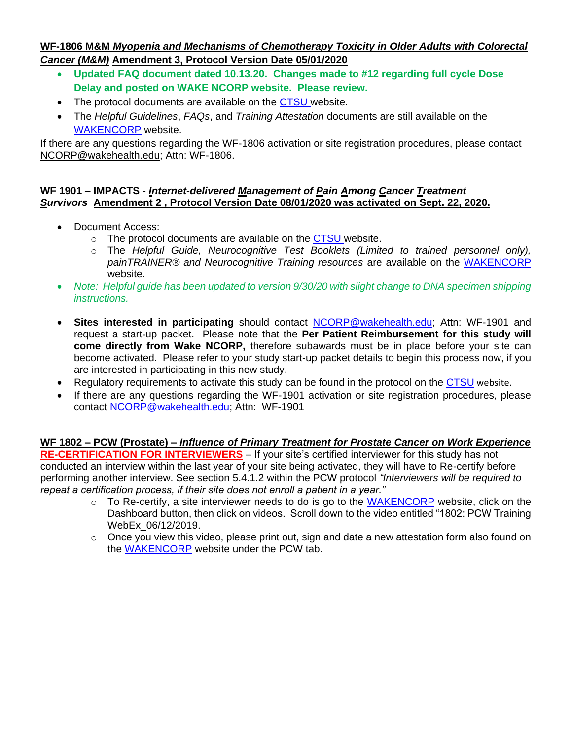### **WF-1806 M&M** *Myopenia and Mechanisms of Chemotherapy Toxicity in Older Adults with Colorectal Cancer (M&M)* **Amendment 3, Protocol Version Date 05/01/2020**

- **Updated FAQ document dated 10.13.20. Changes made to #12 regarding full cycle Dose Delay and posted on WAKE NCORP website. Please review.**
- The protocol documents are available on the [CTSU](https://www.ctsu.org/Public/Default.aspx?ReturnUrl=%2f) website.
- The *Helpful Guidelines*, *FAQs*, and *Training Attestation* documents are still available on the [WAKENCORP](https://wakencorp.phs.wakehealth.edu/) website.

If there are any questions regarding the WF-1806 activation or site registration procedures, please contact [NCORP@wakehealth.edu;](mailto:NCORP@wakehealth.edu) Attn: WF-1806.

### **WF 1901 – IMPACTS -** *Internet-delivered Management of Pain Among Cancer Treatment Survivors* **Amendment 2 , Protocol Version Date 08/01/2020 was activated on Sept. 22, 2020.**

- Document Access:
	- o The protocol documents are available on the [CTSU](https://www.ctsu.org/Public/Default.aspx?ReturnUrl=%2f) website.
	- o The *Helpful Guide, Neurocognitive Test Booklets (Limited to trained personnel only), painTRAINER® and Neurocognitive Training resources* are available on the [WAKENCORP](https://wakencorp.phs.wakehealth.edu/) website.
- *Note: Helpful guide has been updated to version 9/30/20 with slight change to DNA specimen shipping instructions.*
- **Sites interested in participating** should contact [NCORP@wakehealth.edu;](mailto:NCORP@wakehealth.edu) Attn: WF-1901 and request a start-up packet. Please note that the **Per Patient Reimbursement for this study will come directly from Wake NCORP,** therefore subawards must be in place before your site can become activated. Please refer to your study start-up packet details to begin this process now, if you are interested in participating in this new study.
- Regulatory requirements to activate this study can be found in the protocol on the [CTSU](https://www.ctsu.org/Public/Default.aspx?ReturnUrl=%2f) website.
- If there are any questions regarding the WF-1901 activation or site registration procedures, please contact [NCORP@wakehealth.edu;](mailto:NCORP@wakehealth.edu) Attn: WF-1901

#### **WF 1802 – PCW (Prostate) –** *Influence of Primary Treatment for Prostate Cancer on Work Experience* **RE-CERTIFICATION FOR INTERVIEWERS** – If your site's certified interviewer for this study has not conducted an interview within the last year of your site being activated, they will have to Re-certify before performing another interview. See section 5.4.1.2 within the PCW protocol *"Interviewers will be required to repeat a certification process, if their site does not enroll a patient in a year."*

- $\circ$  To Re-certify, a site interviewer needs to do is go to the [WAKENCORP](https://wakencorp.phs.wakehealth.edu/) website, click on the Dashboard button, then click on videos. Scroll down to the video entitled "1802: PCW Training WebEx\_06/12/2019.
- $\circ$  Once you view this video, please print out, sign and date a new attestation form also found on the [WAKENCORP](https://wakencorp.phs.wakehealth.edu/) website under the PCW tab.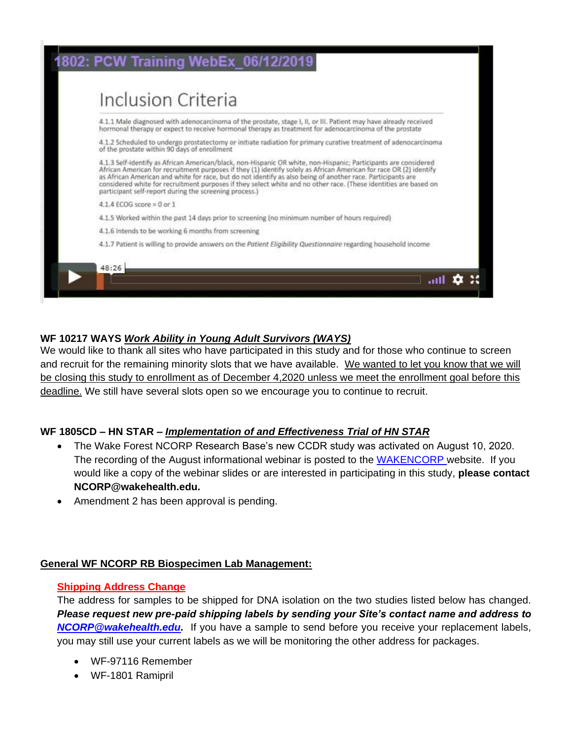

### **WF 10217 WAYS** *Work Ability in Young Adult Survivors (WAYS)*

We would like to thank all sites who have participated in this study and for those who continue to screen and recruit for the remaining minority slots that we have available. We wanted to let you know that we will be closing this study to enrollment as of December 4,2020 unless we meet the enrollment goal before this deadline. We still have several slots open so we encourage you to continue to recruit.

### **WF 1805CD – HN STAR –** *Implementation of and Effectiveness Trial of HN STAR*

- The Wake Forest NCORP Research Base's new CCDR study was activated on August 10, 2020. The recording of the August informational webinar is posted to the [WAKENCORP](https://wakencorp.phs.wakehealth.edu/) website. If you would like a copy of the webinar slides or are interested in participating in this study, **please contact NCORP@wakehealth.edu.**
- Amendment 2 has been approval is pending.

### **General WF NCORP RB Biospecimen Lab Management:**

### **Shipping Address Change**

The address for samples to be shipped for DNA isolation on the two studies listed below has changed. *Please request new pre-paid shipping labels by sending your Site's contact name and address to [NCORP@wakehealth.edu.](mailto:NCORP@wakehealth.edu)* If you have a sample to send before you receive your replacement labels, you may still use your current labels as we will be monitoring the other address for packages.

- WF-97116 Remember
- WF-1801 Ramipril